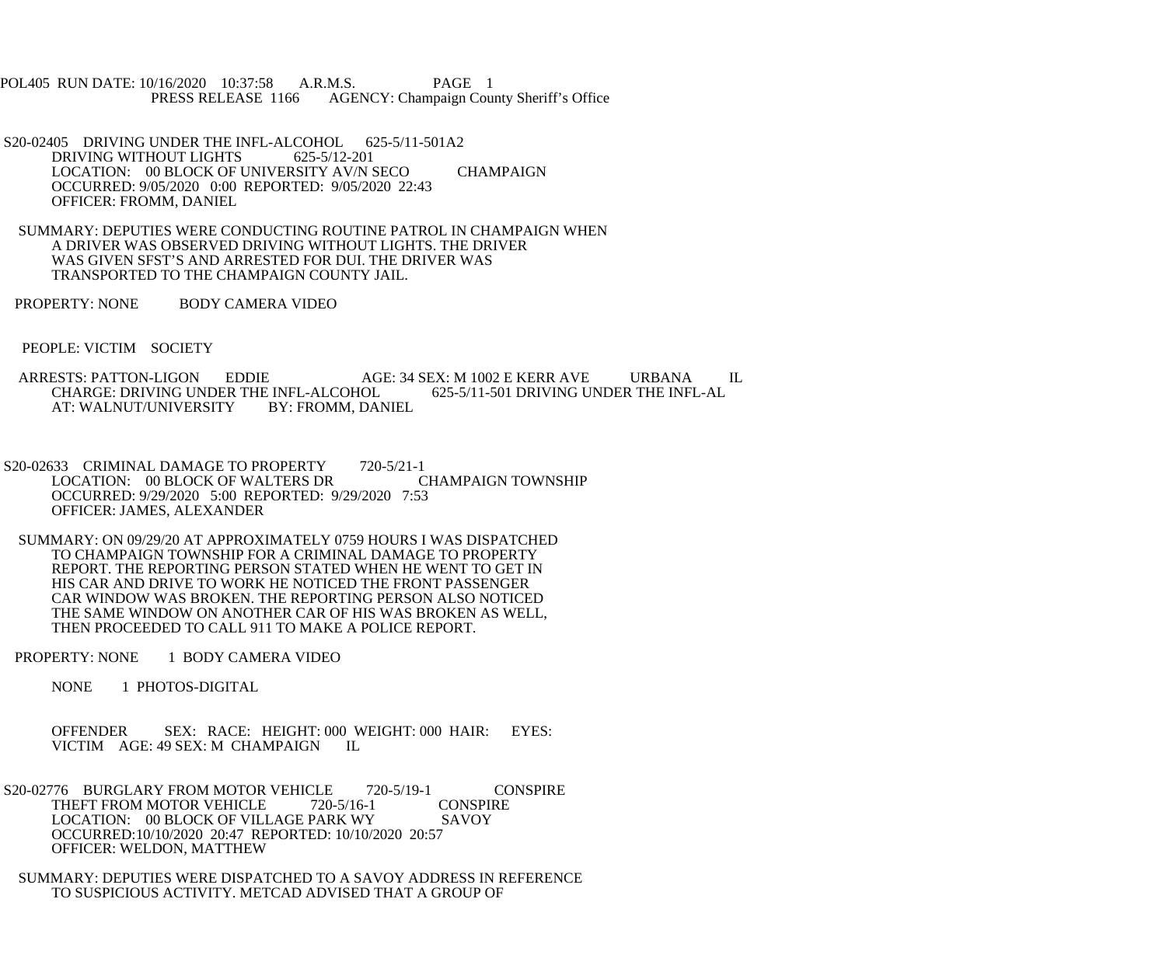POL405 RUN DATE: 10/16/2020 10:37:58 A.R.M.S. PAGE 1<br>PRESS RELEASE 1166 AGENCY: Champaign Cou AGENCY: Champaign County Sheriff's Office

- S20-02405 DRIVING UNDER THE INFL-ALCOHOL 625-5/11-501A2<br>DRIVING WITHOUT LIGHTS 625-5/12-201 DRIVING WITHOUT LIGHTS LOCATION: 00 BLOCK OF UNIVERSITY AV/N SECO CHAMPAIGN OCCURRED: 9/05/2020 0:00 REPORTED: 9/05/2020 22:43 OFFICER: FROMM, DANIEL
- SUMMARY: DEPUTIES WERE CONDUCTING ROUTINE PATROL IN CHAMPAIGN WHEN A DRIVER WAS OBSERVED DRIVING WITHOUT LIGHTS. THE DRIVER WAS GIVEN SFST'S AND ARRESTED FOR DUI. THE DRIVER WAS TRANSPORTED TO THE CHAMPAIGN COUNTY JAIL.
- PROPERTY: NONE BODY CAMERA VIDEO
- PEOPLE: VICTIM SOCIETY
- ARRESTS: PATTON-LIGON EDDIE AGE: 34 SEX: M 1002 E KERR AVE URBANA IL<br>CHARGE: DRIVING UNDER THE INFL-ALCOHOL 625-5/11-501 DRIVING UNDER THE INFL-AL CHARGE: DRIVING UNDER THE INFL-ALCOHOL<br>AT: WALNUT/UNIVERSITY BY: FROMM. DANIEL AT: WALNUT/UNIVERSITY
- S20-02633 CRIMINAL DAMAGE TO PROPERTY 720-5/21-1 LOCATION: 00 BLOCK OF WALTERS DR OCCURRED: 9/29/2020 5:00 REPORTED: 9/29/2020 7:53 OFFICER: JAMES, ALEXANDER
- SUMMARY: ON 09/29/20 AT APPROXIMATELY 0759 HOURS I WAS DISPATCHED TO CHAMPAIGN TOWNSHIP FOR A CRIMINAL DAMAGE TO PROPERTY REPORT. THE REPORTING PERSON STATED WHEN HE WENT TO GET IN HIS CAR AND DRIVE TO WORK HE NOTICED THE FRONT PASSENGER CAR WINDOW WAS BROKEN. THE REPORTING PERSON ALSO NOTICED THE SAME WINDOW ON ANOTHER CAR OF HIS WAS BROKEN AS WELL, THEN PROCEEDED TO CALL 911 TO MAKE A POLICE REPORT.
- PROPERTY: NONE 1 BODY CAMERA VIDEO
	- NONE 1 PHOTOS-DIGITAL
	- OFFENDER SEX: RACE: HEIGHT: 000 WEIGHT: 000 HAIR: EYES: VICTIM AGE: 49 SEX: M CHAMPAIGN IL
- S20-02776 BURGLARY FROM MOTOR VEHICLE 720-5/19-1 CONSPIRE<br>THEFT FROM MOTOR VEHICLE 720-5/16-1 CONSPIRE THEFT FROM MOTOR VEHICLE LOCATION: 00 BLOCK OF VILLAGE PARK WY SAVOY OCCURRED:10/10/2020 20:47 REPORTED: 10/10/2020 20:57 OFFICER: WELDON, MATTHEW
- SUMMARY: DEPUTIES WERE DISPATCHED TO A SAVOY ADDRESS IN REFERENCE TO SUSPICIOUS ACTIVITY. METCAD ADVISED THAT A GROUP OF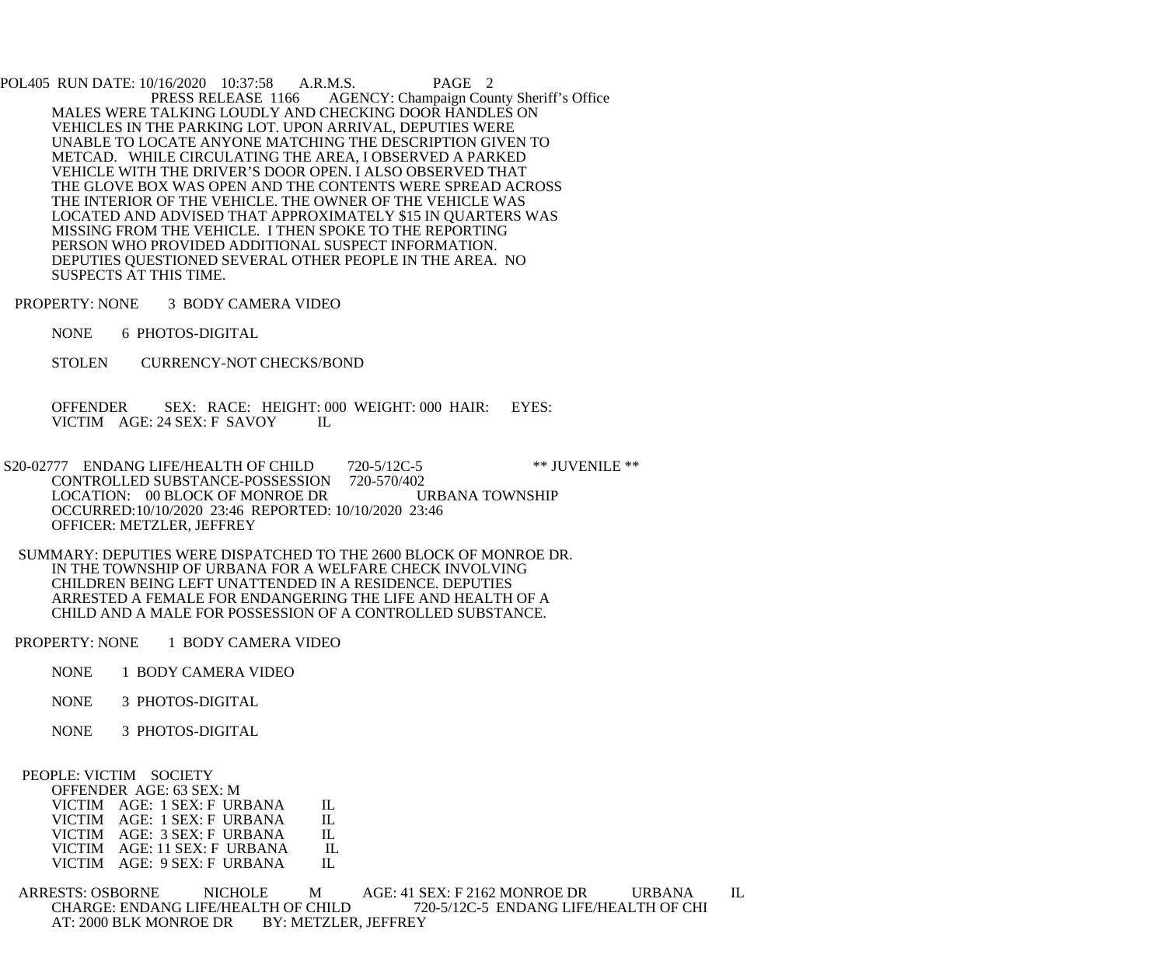POL405 RUN DATE: 10/16/2020 10:37:58 A.R.M.S. PAGE 2<br>PRESS RELEASE 1166 AGENCY: Champaign Cou AGENCY: Champaign County Sheriff's Office MALES WERE TALKING LOUDLY AND CHECKING DOOR HANDLES ON VEHICLES IN THE PARKING LOT. UPON ARRIVAL, DEPUTIES WERE UNABLE TO LOCATE ANYONE MATCHING THE DESCRIPTION GIVEN TO METCAD. WHILE CIRCULATING THE AREA, I OBSERVED A PARKED VEHICLE WITH THE DRIVER'S DOOR OPEN. I ALSO OBSERVED THAT THE GLOVE BOX WAS OPEN AND THE CONTENTS WERE SPREAD ACROSS THE INTERIOR OF THE VEHICLE. THE OWNER OF THE VEHICLE WAS LOCATED AND ADVISED THAT APPROXIMATELY \$15 IN QUARTERS WAS MISSING FROM THE VEHICLE. I THEN SPOKE TO THE REPORTING PERSON WHO PROVIDED ADDITIONAL SUSPECT INFORMATION. DEPUTIES QUESTIONED SEVERAL OTHER PEOPLE IN THE AREA. NO SUSPECTS AT THIS TIME.

PROPERTY: NONE 3 BODY CAMERA VIDEO

NONE 6 PHOTOS-DIGITAL

STOLEN CURRENCY-NOT CHECKS/BOND

 OFFENDER SEX: RACE: HEIGHT: 000 WEIGHT: 000 HAIR: EYES: VICTIM AGE: 24 SEX: F SAVOY IL

S20-02777 ENDANG LIFE/HEALTH OF CHILD 720-5/12C-5 \*\*\* JUVENILE \*\*<br>CONTROLLED SUBSTANCE-POSSESSION 720-570/402 CONTROLLED SUBSTANCE-POSSESSION LOCATION: 00 BLOCK OF MONROE DR URBANA TOWNSHIP OCCURRED:10/10/2020 23:46 REPORTED: 10/10/2020 23:46 OFFICER: METZLER, JEFFREY

 SUMMARY: DEPUTIES WERE DISPATCHED TO THE 2600 BLOCK OF MONROE DR. IN THE TOWNSHIP OF URBANA FOR A WELFARE CHECK INVOLVING CHILDREN BEING LEFT UNATTENDED IN A RESIDENCE. DEPUTIES ARRESTED A FEMALE FOR ENDANGERING THE LIFE AND HEALTH OF A CHILD AND A MALE FOR POSSESSION OF A CONTROLLED SUBSTANCE.

PROPERTY: NONE 1 BODY CAMERA VIDEO

- NONE 1 BODY CAMERA VIDEO
- NONE 3 PHOTOS-DIGITAL
- NONE 3 PHOTOS-DIGITAL

## PEOPLE: VICTIM SOCIETY

| OFFENDER AGE: 63 SEX: M      |         |
|------------------------------|---------|
| VICTIM AGE: 1 SEX: F URBANA  | Н.      |
| VICTIM AGE: 1 SEX: F URBANA  | Н.      |
| VICTIM AGE: 3 SEX: F URBANA  | $\Pi$ . |
| VICTIM AGE: 11 SEX: F URBANA | $\Pi$ . |
| VICTIM AGE: 9 SEX: F URBANA  | Н.      |
|                              |         |

 ARRESTS: OSBORNE NICHOLE M AGE: 41 SEX: F 2162 MONROE DR URBANA IL CHARGE: ENDANG LIFE/HEALTH OF CHILD 720-5/12C-5 ENDANG LIFE/HEALTH OF CHI<br>AT: 2000 BLK MONROE DR BY: METZLER, JEFFREY AT: 2000 BLK MONROE DR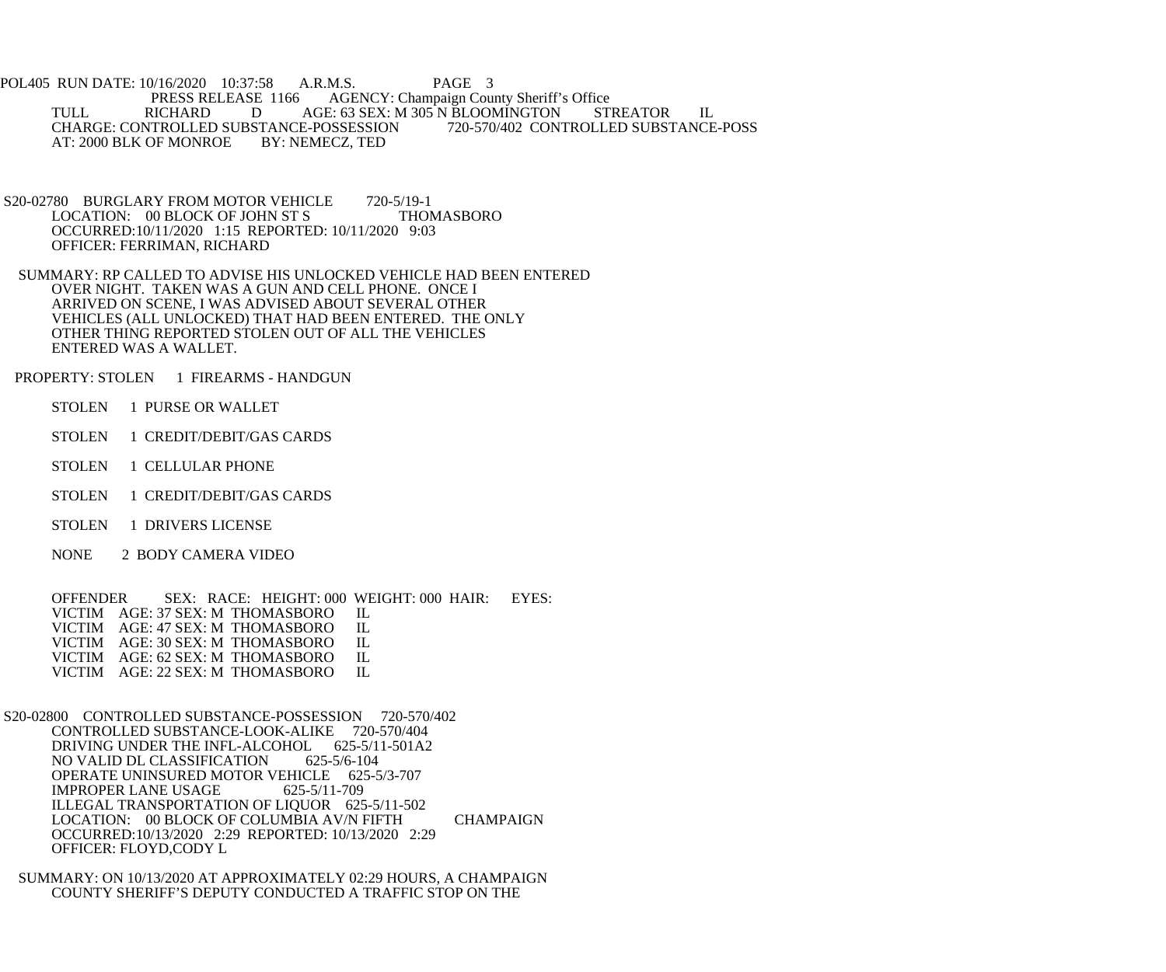POL405 RUN DATE: 10/16/2020 10:37:58 A.R.M.S. PAGE 3<br>PRESS RELEASE 1166 AGENCY: Champaign Cou AGENCY: Champaign County Sheriff's Office TULL RICHARD D AGE: 63 SEX: M 305 N BLOOMINGTON STREATOR IL CHARGE: CONTROLLED SUBSTANCE-POSSESSION<br>AT: 2000 BLK OF MONROE BY: NEMECZ, TED AT: 2000 BLK OF MONROE

- S20-02780 BURGLARY FROM MOTOR VEHICLE 720-5/19-1<br>LOCATION: 00 BLOCK OF JOHN ST S THOMASBORO LOCATION: 00 BLOCK OF JOHN ST S OCCURRED:10/11/2020 1:15 REPORTED: 10/11/2020 9:03 OFFICER: FERRIMAN, RICHARD
- SUMMARY: RP CALLED TO ADVISE HIS UNLOCKED VEHICLE HAD BEEN ENTERED OVER NIGHT. TAKEN WAS A GUN AND CELL PHONE. ONCE I ARRIVED ON SCENE, I WAS ADVISED ABOUT SEVERAL OTHER VEHICLES (ALL UNLOCKED) THAT HAD BEEN ENTERED. THE ONLY OTHER THING REPORTED STOLEN OUT OF ALL THE VEHICLES ENTERED WAS A WALLET.
- PROPERTY: STOLEN 1 FIREARMS HANDGUN
	- STOLEN 1 PURSE OR WALLET
	- STOLEN 1 CREDIT/DEBIT/GAS CARDS
	- STOLEN 1 CELLULAR PHONE
	- STOLEN 1 CREDIT/DEBIT/GAS CARDS
	- STOLEN 1 DRIVERS LICENSE
	- NONE 2 BODY CAMERA VIDEO

OFFENDER SEX: RACE: HEIGHT: 000 WEIGHT: 000 HAIR: EYES: VICTIM AGE: 37 SEX: M THOMASBORO IL VICTIM AGE: 37 SEX: M THOMASBORO IL<br>VICTIM AGE: 47 SEX: M THOMASBORO IL VICTIM AGE: 47 SEX: M THOMASBORO IL<br>VICTIM AGE: 30 SEX: M THOMASBORO IL VICTIM AGE: 30 SEX: M THOMASBORO IL<br>VICTIM AGE: 62 SEX: M THOMASBORO IL VICTIM AGE: 62 SEX: M THOMASBORO IL<br>VICTIM AGE: 22 SEX: M THOMASBORO IL VICTIM AGE: 22 SEX: M THOMASBORO

 S20-02800 CONTROLLED SUBSTANCE-POSSESSION 720-570/402 CONTROLLED SUBSTANCE-LOOK-ALIKE 720-570/404 DRIVING UNDER THE INFL-ALCOHOL 625-5/11-501A2 NO VALID DL CLASSIFICATION 625-5/6-104 OPERATE UNINSURED MOTOR VEHICLE 625-5/3-707<br>IMPROPER LANE USAGE 625-5/11-709 IMPROPER LANE USAGE ILLEGAL TRANSPORTATION OF LIQUOR 625-5/11-502 LOCATION: 00 BLOCK OF COLUMBIA AV/N FIFTH CHAMPAIGN OCCURRED:10/13/2020 2:29 REPORTED: 10/13/2020 2:29 OFFICER: FLOYD,CODY L

 SUMMARY: ON 10/13/2020 AT APPROXIMATELY 02:29 HOURS, A CHAMPAIGN COUNTY SHERIFF'S DEPUTY CONDUCTED A TRAFFIC STOP ON THE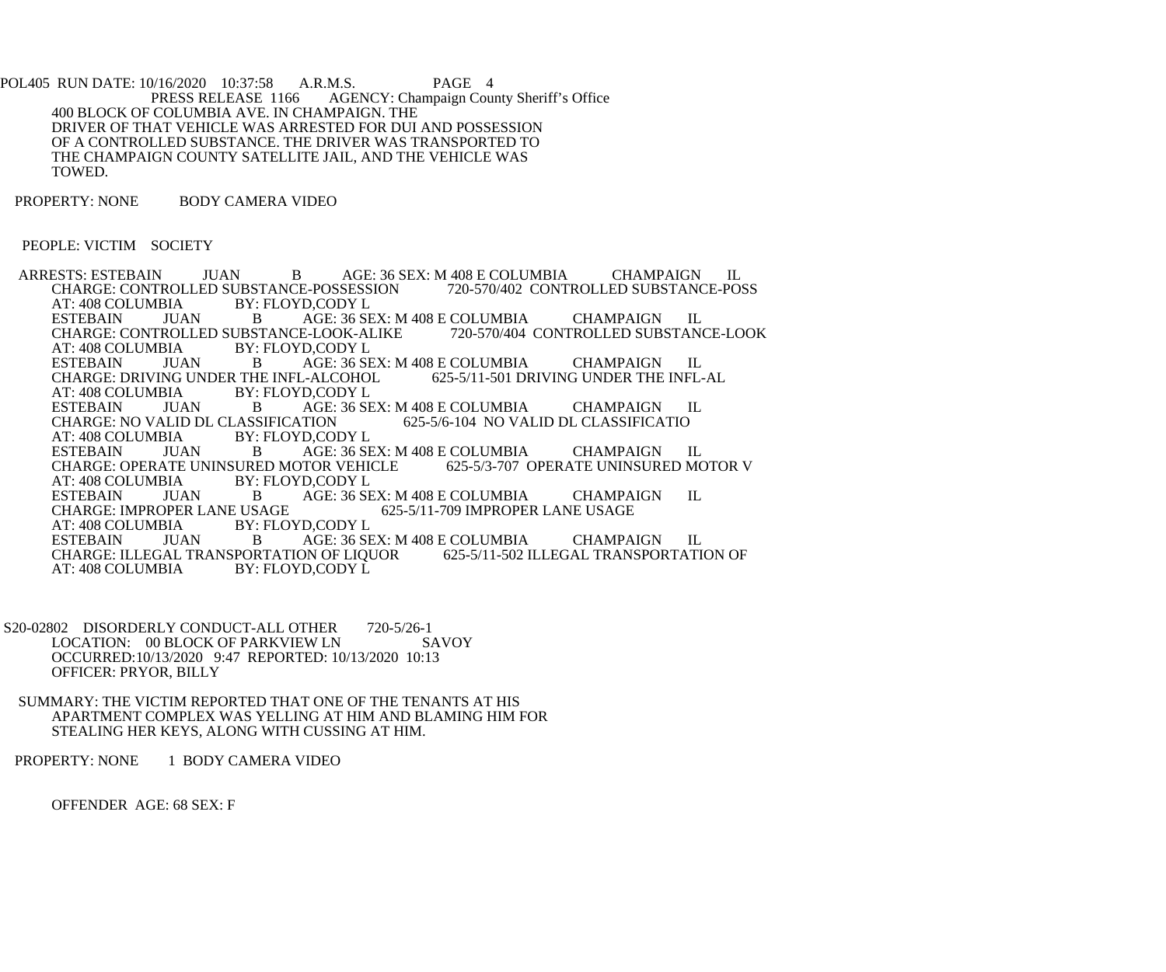POL405 RUN DATE: 10/16/2020 10:37:58 A.R.M.S. PAGE 4<br>PRESS RELEASE 1166 AGENCY: Champaign Cou AGENCY: Champaign County Sheriff's Office 400 BLOCK OF COLUMBIA AVE. IN CHAMPAIGN. THE DRIVER OF THAT VEHICLE WAS ARRESTED FOR DUI AND POSSESSION OF A CONTROLLED SUBSTANCE. THE DRIVER WAS TRANSPORTED TO THE CHAMPAIGN COUNTY SATELLITE JAIL, AND THE VEHICLE WAS TOWED.

PROPERTY: NONE BODY CAMERA VIDEO

PEOPLE: VICTIM SOCIETY

ARRESTS: ESTEBAIN JUAN B AGE: 36 SEX: M 408 E COLUMBIA CHAMPAIGN IL<br>CHARGE: CONTROLLED SUBSTANCE-POSSESSION 720-570/402 CONTROLLED SUBSTANCE-POSS CHARGE: CONTROLLED SUBSTANCE-POSSESSION<br>AT: 408 COLUMBIA BY: FLOYD.CODY L AT: 408 COLUMBIA BY: FLOYD,CODY L<br>ESTEBAIN JUAN B AGE: 36 SE FRAGE: 36 SEX: M 408 E COLUMBIA CHAMPAIGN IL<br>ROLLED SUBSTANCE-LOOK-ALIKE 720-570/404 CONTROLLED SUBSTANCE-LOOK CHARGE: CONTROLLED SUBSTANCE-LOOK-ALIKE<br>AT: 408 COLUMBIA BY: FLOYD.CODY L AT: 408 COLUMBIA BY: FLOYD,CODY L<br>ESTEBAIN JUAN B AGE: 36 SE AGE: 36 SEX: M 408 E COLUMBIA CHAMPAIGN IL<br>L-ALCOHOL 625-5/11-501 DRIVING UNDER THE INFL-AL CHARGE: DRIVING UNDER THE INFL-ALCOHOL<br>AT: 408 COLUMBIA BY: FLOYD.CODY L AT: 408 COLUMBIA BY: FLOYD,CODY L<br>ESTEBAIN JUAN B AGE: 36 SE JUAN B AGE: 36 SEX: M 408 E COLUMBIA CHAMPAIGN IL<br>ALID DL CLASSIFICATION 625-5/6-104 NO VALID DL CLASSIFICATIO CHARGE: NO VALID DL CLASSIFICATION AT: 408 COLUMBIA BY: FLOYD,CODY L<br>ESTEBAIN JUAN B AGE: 36 SE AGE: 36 SEX: M 408 E COLUMBIA CHAMPAIGN IL<br>TOR VEHICLE 625-5/3-707 OPERATE UNINSURED MOTOR V CHARGE: OPERATE UNINSURED MOTOR VEHICLE<br>AT: 408 COLUMBIA BY: FLOYD.CODY L BY: FLOYD,CODY L ESTEBAIN JUAN B AGE: 36 SEX: M 408 E COLUMBIA CHAMPAIGN IL<br>CHARGE: IMPROPER LANE USAGE 625-5/11-709 IMPROPER LANE USAGE CHARGE: IMPROPER LANE USAGE<br>AT: 408 COLUMBIA BY: FLOYD,CODY L AT: 408 COLUMBIA BY: 1<br>ESTEBAIN JUAN B JUAN B AGE: 36 SEX: M 408 E COLUMBIA CHAMPAIGN IL<br>ESTERAIN DE LIQUOR 625-5/11-502 ILLEGAL TRANSPORTATION OF CHARGE: ILLEGAL TRANSPORTATION OF LIQUOR<br>AT: 408 COLUMBIA BY: FLOYD.CODY L AT: 408 COLUMBIA

S20-02802 DISORDERLY CONDUCT-ALL OTHER 720-5/26-1<br>LOCATION: 00 BLOCK OF PARKVIEW LN SAVOY LOCATION: 00 BLOCK OF PARKVIEW LN OCCURRED:10/13/2020 9:47 REPORTED: 10/13/2020 10:13 OFFICER: PRYOR, BILLY

 SUMMARY: THE VICTIM REPORTED THAT ONE OF THE TENANTS AT HIS APARTMENT COMPLEX WAS YELLING AT HIM AND BLAMING HIM FOR STEALING HER KEYS, ALONG WITH CUSSING AT HIM.

PROPERTY: NONE 1 BODY CAMERA VIDEO

OFFENDER AGE: 68 SEX: F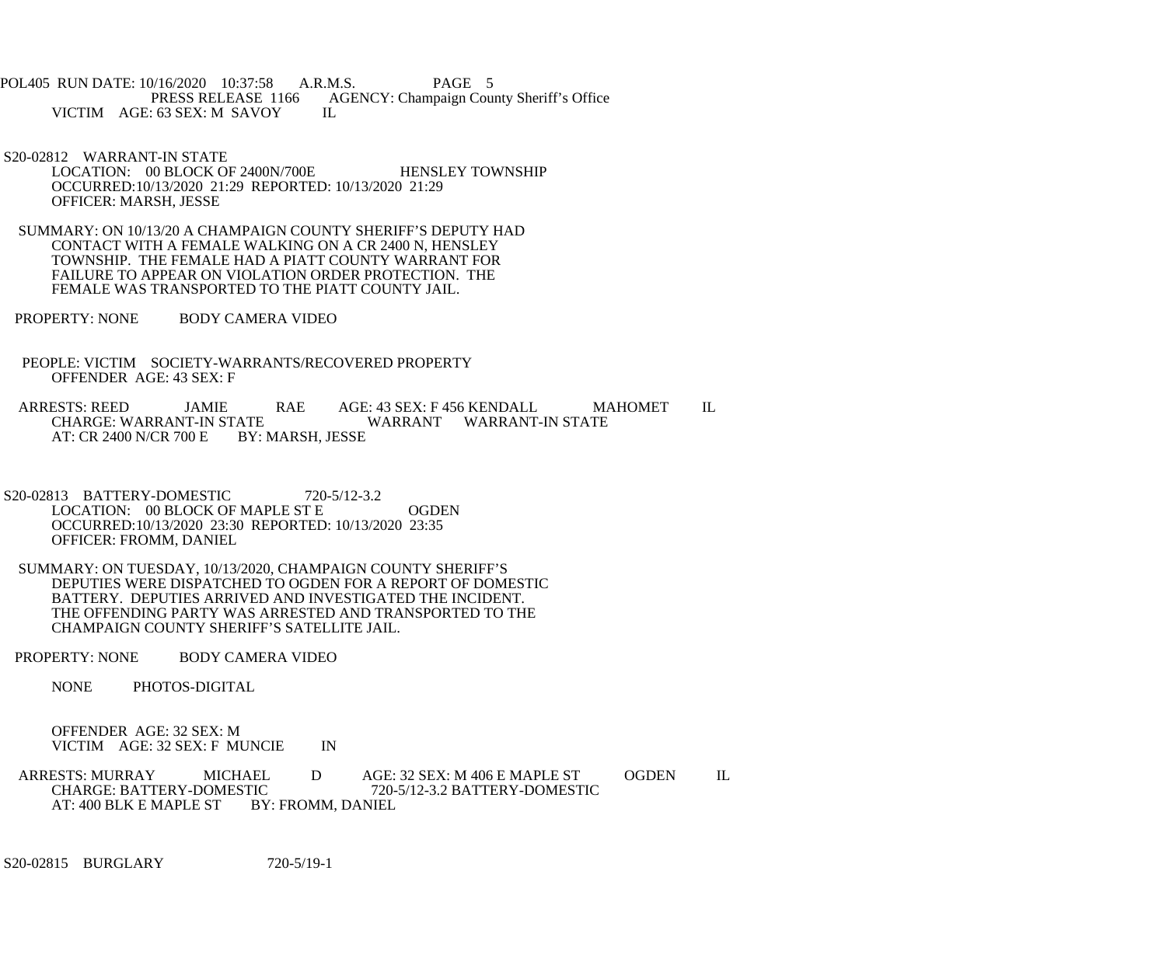POL405 RUN DATE: 10/16/2020 10:37:58 A.R.M.S. PAGE 5<br>PRESS RELEASE 1166 AGENCY: Champaign Cou AGENCY: Champaign County Sheriff's Office IL VICTIM AGE: 63 SEX: M SAVOY

 S20-02812 WARRANT-IN STATE LOCATION: 00 BLOCK OF 2400N/700E HENSLEY TOWNSHIP OCCURRED:10/13/2020 21:29 REPORTED: 10/13/2020 21:29 OFFICER: MARSH, JESSE

 SUMMARY: ON 10/13/20 A CHAMPAIGN COUNTY SHERIFF'S DEPUTY HAD CONTACT WITH A FEMALE WALKING ON A CR 2400 N, HENSLEY TOWNSHIP. THE FEMALE HAD A PIATT COUNTY WARRANT FOR FAILURE TO APPEAR ON VIOLATION ORDER PROTECTION. THE FEMALE WAS TRANSPORTED TO THE PIATT COUNTY JAIL.

PROPERTY: NONE BODY CAMERA VIDEO

 PEOPLE: VICTIM SOCIETY-WARRANTS/RECOVERED PROPERTY OFFENDER AGE: 43 SEX: F

ARRESTS: REED JAMIE RAE AGE: 43 SEX: F 456 KENDALL MAHOMET IL CHARGE: WARRANT-IN STATE EXTATE WARRANT WARRANT-IN STATE BY: MARSH, JESSE AT: CR 2400 N/CR 700 E

 S20-02813 BATTERY-DOMESTIC 720-5/12-3.2 LOCATION: 00 BLOCK OF MAPLE ST E OGDEN OCCURRED:10/13/2020 23:30 REPORTED: 10/13/2020 23:35 OFFICER: FROMM, DANIEL

 SUMMARY: ON TUESDAY, 10/13/2020, CHAMPAIGN COUNTY SHERIFF'S DEPUTIES WERE DISPATCHED TO OGDEN FOR A REPORT OF DOMESTIC BATTERY. DEPUTIES ARRIVED AND INVESTIGATED THE INCIDENT. THE OFFENDING PARTY WAS ARRESTED AND TRANSPORTED TO THE CHAMPAIGN COUNTY SHERIFF'S SATELLITE JAIL.

PROPERTY: NONE BODY CAMERA VIDEO

NONE PHOTOS-DIGITAL

 OFFENDER AGE: 32 SEX: M VICTIM AGE: 32 SEX: F MUNCIE IN

ARRESTS: MURRAY MICHAEL D AGE: 32 SEX: M 406 E MAPLE ST OGDEN IL<br>CHARGE: BATTERY-DOMESTIC 720-5/12-3.2 BATTERY-DOMESTIC TIC 720-5/12-3.2 BATTERY-DOMESTIC<br>BY: FROMM, DANIEL AT: 400 BLK E MAPLE ST

S20-02815 BURGLARY 720-5/19-1